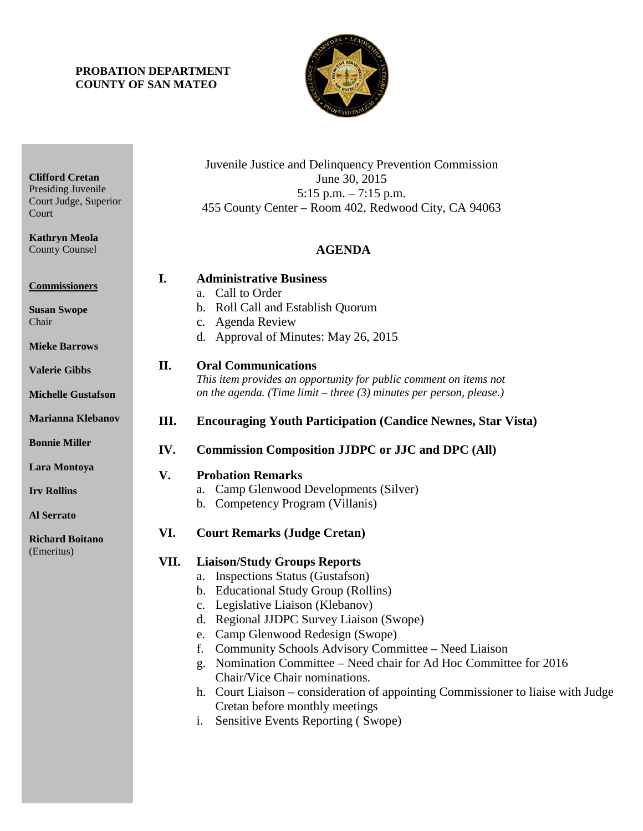## **PROBATION DEPARTMENT COUNTY OF SAN MATEO**



| <b>Clifford Cretan</b><br>Presiding Juvenile<br>Court Judge, Superior<br>Court |      | Juvenile Justice and Delinquency Prevention Commission<br>June 30, 2015<br>5:15 p.m. $-7:15$ p.m.<br>455 County Center – Room 402, Redwood City, CA 94063                                                                                                                                                                                                                                                                                                                                                                                                                                                       |
|--------------------------------------------------------------------------------|------|-----------------------------------------------------------------------------------------------------------------------------------------------------------------------------------------------------------------------------------------------------------------------------------------------------------------------------------------------------------------------------------------------------------------------------------------------------------------------------------------------------------------------------------------------------------------------------------------------------------------|
| <b>Kathryn Meola</b><br><b>County Counsel</b>                                  |      | <b>AGENDA</b>                                                                                                                                                                                                                                                                                                                                                                                                                                                                                                                                                                                                   |
| <b>Commissioners</b><br><b>Susan Swope</b><br>Chair                            | I.   | <b>Administrative Business</b><br>Call to Order<br>a.<br>b. Roll Call and Establish Quorum<br><b>Agenda Review</b><br>c.                                                                                                                                                                                                                                                                                                                                                                                                                                                                                        |
| <b>Mieke Barrows</b>                                                           |      | d. Approval of Minutes: May 26, 2015                                                                                                                                                                                                                                                                                                                                                                                                                                                                                                                                                                            |
| <b>Valerie Gibbs</b><br><b>Michelle Gustafson</b>                              | II.  | <b>Oral Communications</b><br>This item provides an opportunity for public comment on items not<br>on the agenda. (Time limit $-$ three (3) minutes per person, please.)                                                                                                                                                                                                                                                                                                                                                                                                                                        |
| <b>Marianna Klebanov</b>                                                       | Ш.   | <b>Encouraging Youth Participation (Candice Newnes, Star Vista)</b>                                                                                                                                                                                                                                                                                                                                                                                                                                                                                                                                             |
| <b>Bonnie Miller</b>                                                           | IV.  | <b>Commission Composition JJDPC or JJC and DPC (All)</b>                                                                                                                                                                                                                                                                                                                                                                                                                                                                                                                                                        |
| Lara Montoya                                                                   | V.   | <b>Probation Remarks</b>                                                                                                                                                                                                                                                                                                                                                                                                                                                                                                                                                                                        |
| <b>Irv Rollins</b><br><b>Al Serrato</b>                                        |      | Camp Glenwood Developments (Silver)<br>a.<br>Competency Program (Villanis)<br>$\mathbf b$ .                                                                                                                                                                                                                                                                                                                                                                                                                                                                                                                     |
| <b>Richard Boitano</b>                                                         | VI.  | <b>Court Remarks (Judge Cretan)</b>                                                                                                                                                                                                                                                                                                                                                                                                                                                                                                                                                                             |
| (Emeritus)                                                                     | VII. | <b>Liaison/Study Groups Reports</b><br><b>Inspections Status (Gustafson)</b><br>a.<br><b>Educational Study Group (Rollins)</b><br>$\mathbf{b}$ .<br>Legislative Liaison (Klebanov)<br>d. Regional JJDPC Survey Liaison (Swope)<br>e. Camp Glenwood Redesign (Swope)<br>Community Schools Advisory Committee - Need Liaison<br>f.<br>Nomination Committee – Need chair for Ad Hoc Committee for 2016<br>g.<br>Chair/Vice Chair nominations.<br>Court Liaison – consideration of appointing Commissioner to liaise with Judge<br>h.<br>Cretan before monthly meetings<br>Sensitive Events Reporting (Swope)<br>i. |